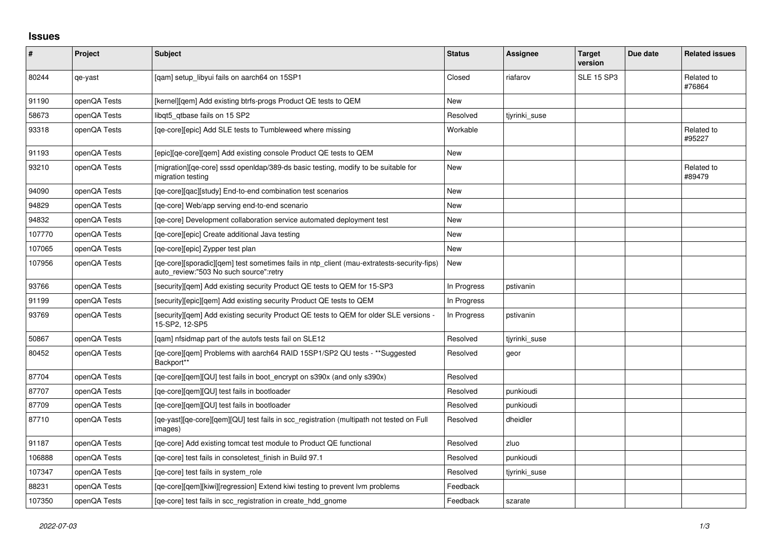## **Issues**

| $\pmb{\#}$ | Project      | <b>Subject</b>                                                                                                                       | <b>Status</b> | <b>Assignee</b> | <b>Target</b><br>version | Due date | <b>Related issues</b> |
|------------|--------------|--------------------------------------------------------------------------------------------------------------------------------------|---------------|-----------------|--------------------------|----------|-----------------------|
| 80244      | qe-yast      | [gam] setup libyui fails on aarch64 on 15SP1                                                                                         | Closed        | riafarov        | <b>SLE 15 SP3</b>        |          | Related to<br>#76864  |
| 91190      | openQA Tests | [kernel][gem] Add existing btrfs-progs Product QE tests to QEM                                                                       | <b>New</b>    |                 |                          |          |                       |
| 58673      | openQA Tests | libqt5_qtbase fails on 15 SP2                                                                                                        | Resolved      | tiyrinki suse   |                          |          |                       |
| 93318      | openQA Tests | [qe-core][epic] Add SLE tests to Tumbleweed where missing                                                                            | Workable      |                 |                          |          | Related to<br>#95227  |
| 91193      | openQA Tests | [epic][ge-core][gem] Add existing console Product QE tests to QEM                                                                    | <b>New</b>    |                 |                          |          |                       |
| 93210      | openQA Tests | [migration][ge-core] sssd open dap/389-ds basic testing, modify to be suitable for<br>migration testing                              | <b>New</b>    |                 |                          |          | Related to<br>#89479  |
| 94090      | openQA Tests | [ge-core][gac][study] End-to-end combination test scenarios                                                                          | <b>New</b>    |                 |                          |          |                       |
| 94829      | openQA Tests | [ge-core] Web/app serving end-to-end scenario                                                                                        | <b>New</b>    |                 |                          |          |                       |
| 94832      | openQA Tests | [ge-core] Development collaboration service automated deployment test                                                                | <b>New</b>    |                 |                          |          |                       |
| 107770     | openQA Tests | [ge-core][epic] Create additional Java testing                                                                                       | New           |                 |                          |          |                       |
| 107065     | openQA Tests | [qe-core][epic] Zypper test plan                                                                                                     | New           |                 |                          |          |                       |
| 107956     | openQA Tests | [qe-core][sporadic][qem] test sometimes fails in ntp_client (mau-extratests-security-fips)<br>auto_review:"503 No such source":retry | <b>New</b>    |                 |                          |          |                       |
| 93766      | openQA Tests | [security][gem] Add existing security Product QE tests to QEM for 15-SP3                                                             | In Progress   | pstivanin       |                          |          |                       |
| 91199      | openQA Tests | [security][epic][qem] Add existing security Product QE tests to QEM                                                                  | In Progress   |                 |                          |          |                       |
| 93769      | openQA Tests | [security][qem] Add existing security Product QE tests to QEM for older SLE versions -<br>15-SP2, 12-SP5                             | In Progress   | pstivanin       |                          |          |                       |
| 50867      | openQA Tests | [qam] nfsidmap part of the autofs tests fail on SLE12                                                                                | Resolved      | tjyrinki suse   |                          |          |                       |
| 80452      | openQA Tests | [qe-core][qem] Problems with aarch64 RAID 15SP1/SP2 QU tests - **Suggested<br>Backport**                                             | Resolved      | geor            |                          |          |                       |
| 87704      | openQA Tests | [ge-core][gem][QU] test fails in boot encrypt on s390x (and only s390x)                                                              | Resolved      |                 |                          |          |                       |
| 87707      | openQA Tests | [ge-core][gem][QU] test fails in bootloader                                                                                          | Resolved      | punkioudi       |                          |          |                       |
| 87709      | openQA Tests | [qe-core][qem][QU] test fails in bootloader                                                                                          | Resolved      | punkioudi       |                          |          |                       |
| 87710      | openQA Tests | [qe-yast][qe-core][qem][QU] test fails in scc_registration (multipath not tested on Full<br>images)                                  | Resolved      | dheidler        |                          |          |                       |
| 91187      | openQA Tests | [ge-core] Add existing tomcat test module to Product QE functional                                                                   | Resolved      | zluo            |                          |          |                       |
| 106888     | openQA Tests | [ge-core] test fails in consoletest finish in Build 97.1                                                                             | Resolved      | punkioudi       |                          |          |                       |
| 107347     | openQA Tests | [ge-core] test fails in system role                                                                                                  | Resolved      | tjyrinki_suse   |                          |          |                       |
| 88231      | openQA Tests | [ge-core][gem][kiwi][regression] Extend kiwi testing to prevent lym problems                                                         | Feedback      |                 |                          |          |                       |
| 107350     | openQA Tests | [ge-core] test fails in scc registration in create hdd gnome                                                                         | Feedback      | szarate         |                          |          |                       |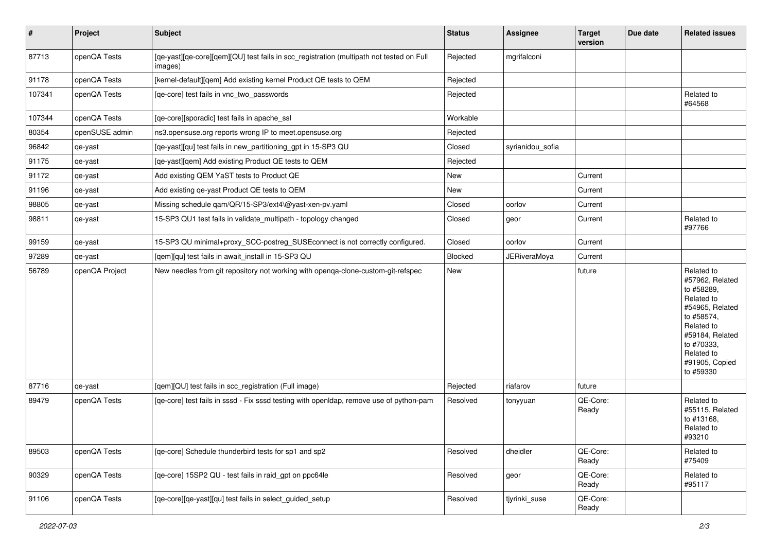| $\vert$ # | Project        | <b>Subject</b>                                                                                      | <b>Status</b> | <b>Assignee</b>     | <b>Target</b><br>version | Due date | <b>Related issues</b>                                                                                                                                                                  |
|-----------|----------------|-----------------------------------------------------------------------------------------------------|---------------|---------------------|--------------------------|----------|----------------------------------------------------------------------------------------------------------------------------------------------------------------------------------------|
| 87713     | openQA Tests   | [qe-yast][qe-core][qem][QU] test fails in scc_registration (multipath not tested on Full<br>images) | Rejected      | mgrifalconi         |                          |          |                                                                                                                                                                                        |
| 91178     | openQA Tests   | [kernel-default][qem] Add existing kernel Product QE tests to QEM                                   | Rejected      |                     |                          |          |                                                                                                                                                                                        |
| 107341    | openQA Tests   | [qe-core] test fails in vnc_two_passwords                                                           | Rejected      |                     |                          |          | Related to<br>#64568                                                                                                                                                                   |
| 107344    | openQA Tests   | [qe-core][sporadic] test fails in apache_ssl                                                        | Workable      |                     |                          |          |                                                                                                                                                                                        |
| 80354     | openSUSE admin | ns3.opensuse.org reports wrong IP to meet.opensuse.org                                              | Rejected      |                     |                          |          |                                                                                                                                                                                        |
| 96842     | qe-yast        | [qe-yast][qu] test fails in new_partitioning_gpt in 15-SP3 QU                                       | Closed        | syrianidou_sofia    |                          |          |                                                                                                                                                                                        |
| 91175     | qe-yast        | [qe-yast][qem] Add existing Product QE tests to QEM                                                 | Rejected      |                     |                          |          |                                                                                                                                                                                        |
| 91172     | qe-yast        | Add existing QEM YaST tests to Product QE                                                           | New           |                     | Current                  |          |                                                                                                                                                                                        |
| 91196     | qe-yast        | Add existing qe-yast Product QE tests to QEM                                                        | New           |                     | Current                  |          |                                                                                                                                                                                        |
| 98805     | qe-yast        | Missing schedule qam/QR/15-SP3/ext4\@yast-xen-pv.yaml                                               | Closed        | oorlov              | Current                  |          |                                                                                                                                                                                        |
| 98811     | qe-yast        | 15-SP3 QU1 test fails in validate_multipath - topology changed                                      | Closed        | geor                | Current                  |          | Related to<br>#97766                                                                                                                                                                   |
| 99159     | qe-yast        | 15-SP3 QU minimal+proxy_SCC-postreg_SUSEconnect is not correctly configured.                        | Closed        | oorlov              | Current                  |          |                                                                                                                                                                                        |
| 97289     | qe-yast        | [qem][qu] test fails in await_install in 15-SP3 QU                                                  | Blocked       | <b>JERiveraMoya</b> | Current                  |          |                                                                                                                                                                                        |
| 56789     | openQA Project | New needles from git repository not working with openqa-clone-custom-git-refspec                    | New           |                     | future                   |          | Related to<br>#57962, Related<br>to #58289,<br>Related to<br>#54965, Related<br>to #58574,<br>Related to<br>#59184, Related<br>to #70333,<br>Related to<br>#91905, Copied<br>to #59330 |
| 87716     | qe-yast        | [qem][QU] test fails in scc_registration (Full image)                                               | Rejected      | riafarov            | future                   |          |                                                                                                                                                                                        |
| 89479     | openQA Tests   | [qe-core] test fails in sssd - Fix sssd testing with openIdap, remove use of python-pam             | Resolved      | tonyyuan            | QE-Core:<br>Ready        |          | Related to<br>#55115, Related<br>to #13168,<br>Related to<br>#93210                                                                                                                    |
| 89503     | openQA Tests   | [qe-core] Schedule thunderbird tests for sp1 and sp2                                                | Resolved      | dheidler            | QE-Core:<br>Ready        |          | Related to<br>#75409                                                                                                                                                                   |
| 90329     | openQA Tests   | [qe-core] 15SP2 QU - test fails in raid_gpt on ppc64le                                              | Resolved      | geor                | QE-Core:<br>Ready        |          | Related to<br>#95117                                                                                                                                                                   |
| 91106     | openQA Tests   | [qe-core][qe-yast][qu] test fails in select_guided_setup                                            | Resolved      | tjyrinki_suse       | QE-Core:<br>Ready        |          |                                                                                                                                                                                        |